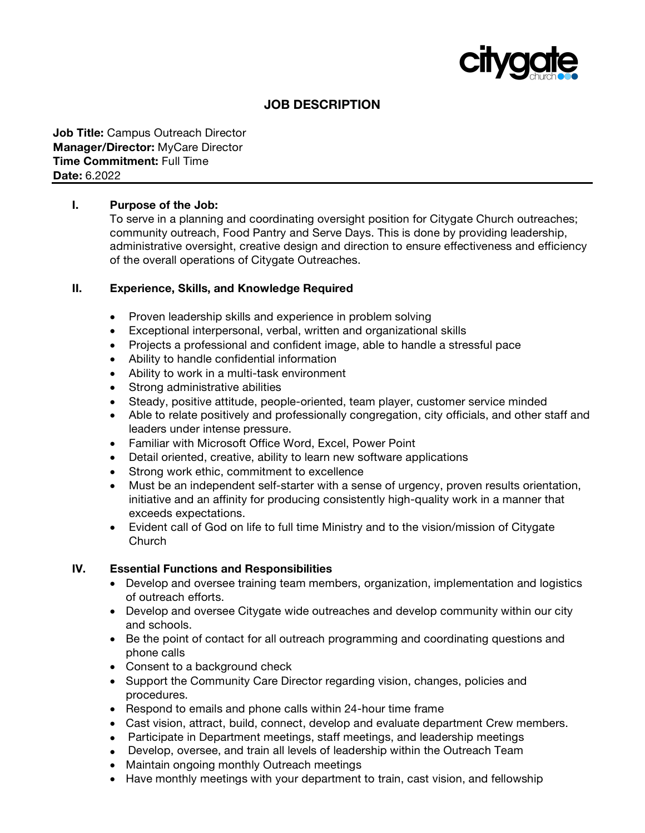

# **JOB DESCRIPTION**

#### **Job Title:** Campus Outreach Director **Manager/Director:** MyCare Director **Time Commitment:** Full Time **Date:** 6.2022

### **I. Purpose of the Job:**

To serve in a planning and coordinating oversight position for Citygate Church outreaches; community outreach, Food Pantry and Serve Days. This is done by providing leadership, administrative oversight, creative design and direction to ensure effectiveness and efficiency of the overall operations of Citygate Outreaches.

#### **II. Experience, Skills, and Knowledge Required**

- Proven leadership skills and experience in problem solving
- Exceptional interpersonal, verbal, written and organizational skills
- Projects a professional and confident image, able to handle a stressful pace
- Ability to handle confidential information
- Ability to work in a multi-task environment
- Strong administrative abilities
- Steady, positive attitude, people-oriented, team player, customer service minded
- Able to relate positively and professionally congregation, city officials, and other staff and leaders under intense pressure.
- Familiar with Microsoft Office Word, Excel, Power Point
- Detail oriented, creative, ability to learn new software applications
- Strong work ethic, commitment to excellence
- Must be an independent self-starter with a sense of urgency, proven results orientation, initiative and an affinity for producing consistently high-quality work in a manner that exceeds expectations.
- Evident call of God on life to full time Ministry and to the vision/mission of Citygate Church

#### **IV. Essential Functions and Responsibilities**

- Develop and oversee training team members, organization, implementation and logistics of outreach efforts.
- Develop and oversee Citygate wide outreaches and develop community within our city and schools.
- Be the point of contact for all outreach programming and coordinating questions and phone calls
- Consent to a background check
- Support the Community Care Director regarding vision, changes, policies and procedures.
- Respond to emails and phone calls within 24-hour time frame
- Cast vision, attract, build, connect, develop and evaluate department Crew members.
- Participate in Department meetings, staff meetings, and leadership meetings
- Develop, oversee, and train all levels of leadership within the Outreach Team
- Maintain ongoing monthly Outreach meetings
- Have monthly meetings with your department to train, cast vision, and fellowship